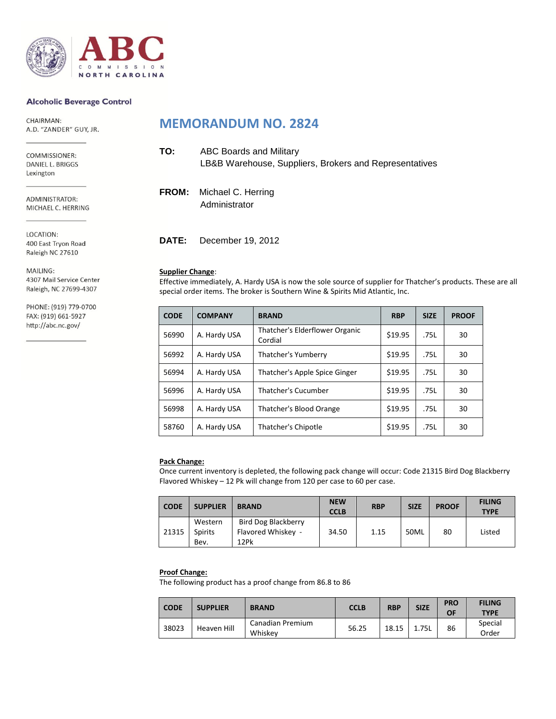

### **Alcoholic Beverage Control**

CHAIRMAN: A.D. "ZANDER" GUY, JR.

COMMISSIONER: DANIEL L. BRIGGS Lexington

ADMINISTRATOR: MICHAEL C. HERRING

LOCATION: 400 East Tryon Road Raleigh NC 27610

MAILING: 4307 Mail Service Center Raleigh, NC 27699-4307

PHONE: (919) 779-0700 FAX: (919) 661-5927 http://abc.nc.gov/

### **MEMORANDUM NO. 2824**

| TO: | <b>ABC Boards and Military</b><br>LB&B Warehouse, Suppliers, Brokers and Representatives |
|-----|------------------------------------------------------------------------------------------|
|     | <b>FROM:</b> Michael C. Herring<br>Administrator                                         |

**DATE:** December 19, 2012

### **Supplier Change**:

Effective immediately, A. Hardy USA is now the sole source of supplier for Thatcher's products. These are all special order items. The broker is Southern Wine & Spirits Mid Atlantic, Inc.

| <b>CODE</b> | <b>COMPANY</b> | <b>BRAND</b>                              | <b>RBP</b> | <b>SIZE</b> | <b>PROOF</b> |
|-------------|----------------|-------------------------------------------|------------|-------------|--------------|
| 56990       | A. Hardy USA   | Thatcher's Elderflower Organic<br>Cordial | \$19.95    | .75L        | 30           |
| 56992       | A. Hardy USA   | Thatcher's Yumberry                       | \$19.95    | .75L        | 30           |
| 56994       | A. Hardy USA   | Thatcher's Apple Spice Ginger             | \$19.95    | .75L        | 30           |
| 56996       | A. Hardy USA   | <b>Thatcher's Cucumber</b>                | \$19.95    | .75L        | 30           |
| 56998       | A. Hardy USA   | Thatcher's Blood Orange                   | \$19.95    | .75L        | 30           |
| 58760       | A. Hardy USA   | Thatcher's Chipotle                       | \$19.95    | .75L        | 30           |

#### **Pack Change:**

Once current inventory is depleted, the following pack change will occur: Code 21315 Bird Dog Blackberry Flavored Whiskey – 12 Pk will change from 120 per case to 60 per case.

| <b>CODE</b> | <b>SUPPLIER</b>                   | <b>BRAND</b>                                      | <b>NEW</b><br><b>CCLB</b> | <b>RBP</b> | <b>SIZE</b> | <b>PROOF</b> | <b>FILING</b><br><b>TYPE</b> |
|-------------|-----------------------------------|---------------------------------------------------|---------------------------|------------|-------------|--------------|------------------------------|
| 21315       | Western<br><b>Spirits</b><br>Bev. | Bird Dog Blackberry<br>Flavored Whiskey -<br>12Pk | 34.50                     | 1.15       | 50ML        | 80           | Listed                       |

#### **Proof Change:**

The following product has a proof change from 86.8 to 86

| <b>CODE</b> | <b>SUPPLIER</b> | <b>BRAND</b>                | <b>CCLB</b> | <b>RBP</b> | <b>SIZE</b> | <b>PRO</b><br>ОF | <b>FILING</b><br><b>TYPE</b> |
|-------------|-----------------|-----------------------------|-------------|------------|-------------|------------------|------------------------------|
| 38023       | Heaven Hill     | Canadian Premium<br>Whiskev | 56.25       | 18.15      | 1.75L       | 86               | Special<br>Order             |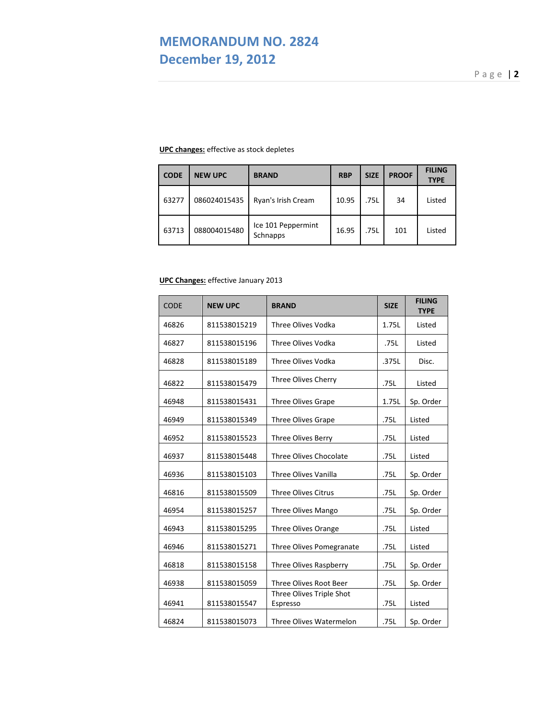# **MEMORANDUM NO. 2824 December 19, 2012**

P a g e | **2**

### **UPC changes:** effective as stock depletes

| <b>CODE</b> | <b>NEW UPC</b> | <b>BRAND</b>                   | <b>RBP</b> | <b>SIZE</b> | <b>PROOF</b> | <b>FILING</b><br><b>TYPE</b> |
|-------------|----------------|--------------------------------|------------|-------------|--------------|------------------------------|
| 63277       | 086024015435   | Ryan's Irish Cream             | 10.95      | .75L        | 34           | Listed                       |
| 63713       | 088004015480   | Ice 101 Peppermint<br>Schnapps | 16.95      | .75L        | 101          | Listed                       |

### **UPC Changes:** effective January 2013

| <b>CODE</b> | <b>NEW UPC</b> | <b>BRAND</b>                         | <b>SIZE</b> | <b>FILING</b><br><b>TYPE</b> |
|-------------|----------------|--------------------------------------|-------------|------------------------------|
| 46826       | 811538015219   | <b>Three Olives Vodka</b>            | 1.75L       | Listed                       |
| 46827       | 811538015196   | <b>Three Olives Vodka</b>            | .75L        | Listed                       |
| 46828       | 811538015189   | Three Olives Vodka                   | .375L       | Disc.                        |
| 46822       | 811538015479   | Three Olives Cherry                  | .75L        | Listed                       |
| 46948       | 811538015431   | <b>Three Olives Grape</b>            | 1.75L       | Sp. Order                    |
| 46949       | 811538015349   | Three Olives Grape                   | .75L        | Listed                       |
| 46952       | 811538015523   | Three Olives Berry                   | .75L        | Listed                       |
| 46937       | 811538015448   | <b>Three Olives Chocolate</b>        | .75L        | Listed                       |
| 46936       | 811538015103   | <b>Three Olives Vanilla</b>          | .75L        | Sp. Order                    |
| 46816       | 811538015509   | <b>Three Olives Citrus</b>           | .75L        | Sp. Order                    |
| 46954       | 811538015257   | Three Olives Mango                   | .75L        | Sp. Order                    |
| 46943       | 811538015295   | Three Olives Orange                  | .75L        | Listed                       |
| 46946       | 811538015271   | Three Olives Pomegranate             | .75L        | Listed                       |
| 46818       | 811538015158   | Three Olives Raspberry               | .75L        | Sp. Order                    |
| 46938       | 811538015059   | Three Olives Root Beer               | .75L        | Sp. Order                    |
| 46941       | 811538015547   | Three Olives Triple Shot<br>Espresso | .75L        | Listed                       |
| 46824       | 811538015073   | Three Olives Watermelon              | .75L        | Sp. Order                    |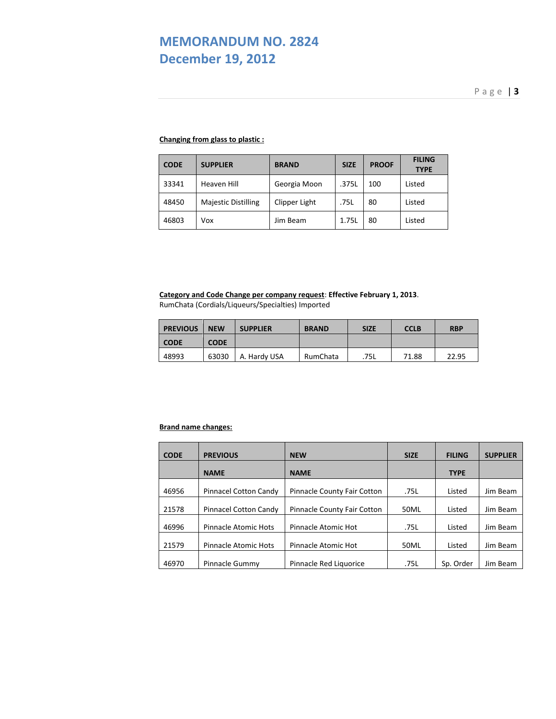# **MEMORANDUM NO. 2824 December 19, 2012**

### **Changing from glass to plastic :**

| <b>CODE</b> | <b>SUPPLIER</b>            | <b>BRAND</b>  | <b>SIZE</b> | <b>PROOF</b> | <b>FILING</b><br><b>TYPE</b> |
|-------------|----------------------------|---------------|-------------|--------------|------------------------------|
| 33341       | Heaven Hill                | Georgia Moon  | .375L       | 100          | Listed                       |
| 48450       | <b>Majestic Distilling</b> | Clipper Light | .75L        | 80           | Listed                       |
| 46803       | Vox                        | Jim Beam      | 1.75L       | 80           | Listed                       |

**Category and Code Change per company request**: **Effective February 1, 2013**. RumChata (Cordials/Liqueurs/Specialties) Imported

| <b>PREVIOUS</b> | <b>NEW</b>  | <b>SUPPLIER</b> | <b>BRAND</b> | <b>SIZE</b> | <b>CCLB</b> | <b>RBP</b> |
|-----------------|-------------|-----------------|--------------|-------------|-------------|------------|
| <b>CODE</b>     | <b>CODE</b> |                 |              |             |             |            |
| 48993           | 63030       | A. Hardy USA    | RumChata     | .75L        | 71.88       | 22.95      |

### **Brand name changes:**

| <b>CODE</b> | <b>PREVIOUS</b>       | <b>NEW</b>                  | <b>SIZE</b> | <b>FILING</b> | <b>SUPPLIER</b> |
|-------------|-----------------------|-----------------------------|-------------|---------------|-----------------|
|             | <b>NAME</b>           | <b>NAME</b>                 |             | <b>TYPE</b>   |                 |
| 46956       | Pinnacel Cotton Candy | Pinnacle County Fair Cotton | .75L        | Listed        | Jim Beam        |
| 21578       | Pinnacel Cotton Candy | Pinnacle County Fair Cotton | 50ML        | Listed        | Jim Beam        |
| 46996       | Pinnacle Atomic Hots  | Pinnacle Atomic Hot         | .75L        | Listed        | Jim Beam        |
| 21579       | Pinnacle Atomic Hots  | Pinnacle Atomic Hot         | 50ML        | Listed        | Jim Beam        |
| 46970       | Pinnacle Gummy        | Pinnacle Red Liquorice      | .75L        | Sp. Order     | Jim Beam        |